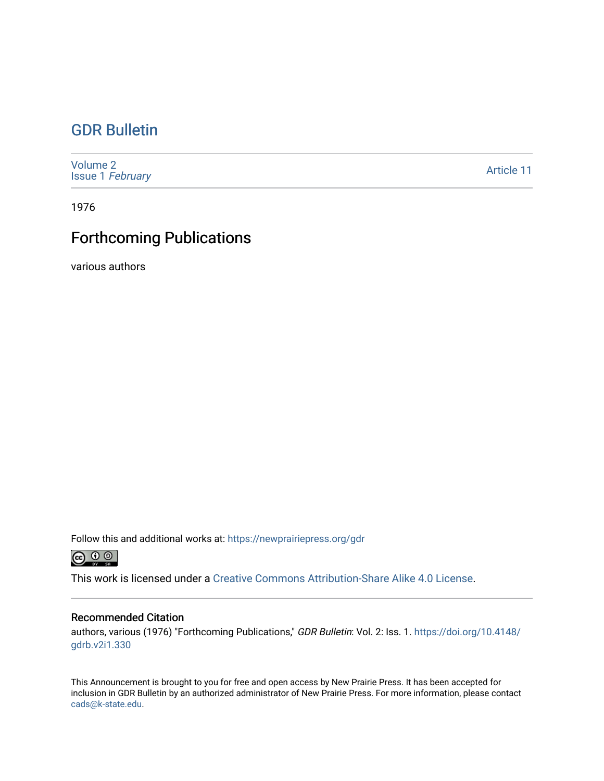### [GDR Bulletin](https://newprairiepress.org/gdr)

[Volume 2](https://newprairiepress.org/gdr/vol2) Issue 1 [February](https://newprairiepress.org/gdr/vol2/iss1) 

[Article 11](https://newprairiepress.org/gdr/vol2/iss1/11) 

1976

## Forthcoming Publications

various authors

Follow this and additional works at: [https://newprairiepress.org/gdr](https://newprairiepress.org/gdr?utm_source=newprairiepress.org%2Fgdr%2Fvol2%2Fiss1%2F11&utm_medium=PDF&utm_campaign=PDFCoverPages) 



This work is licensed under a [Creative Commons Attribution-Share Alike 4.0 License.](https://creativecommons.org/licenses/by-sa/4.0/)

### Recommended Citation

authors, various (1976) "Forthcoming Publications," GDR Bulletin: Vol. 2: Iss. 1. [https://doi.org/10.4148/](https://doi.org/10.4148/gdrb.v2i1.330) [gdrb.v2i1.330](https://doi.org/10.4148/gdrb.v2i1.330) 

This Announcement is brought to you for free and open access by New Prairie Press. It has been accepted for inclusion in GDR Bulletin by an authorized administrator of New Prairie Press. For more information, please contact [cads@k-state.edu.](mailto:cads@k-state.edu)